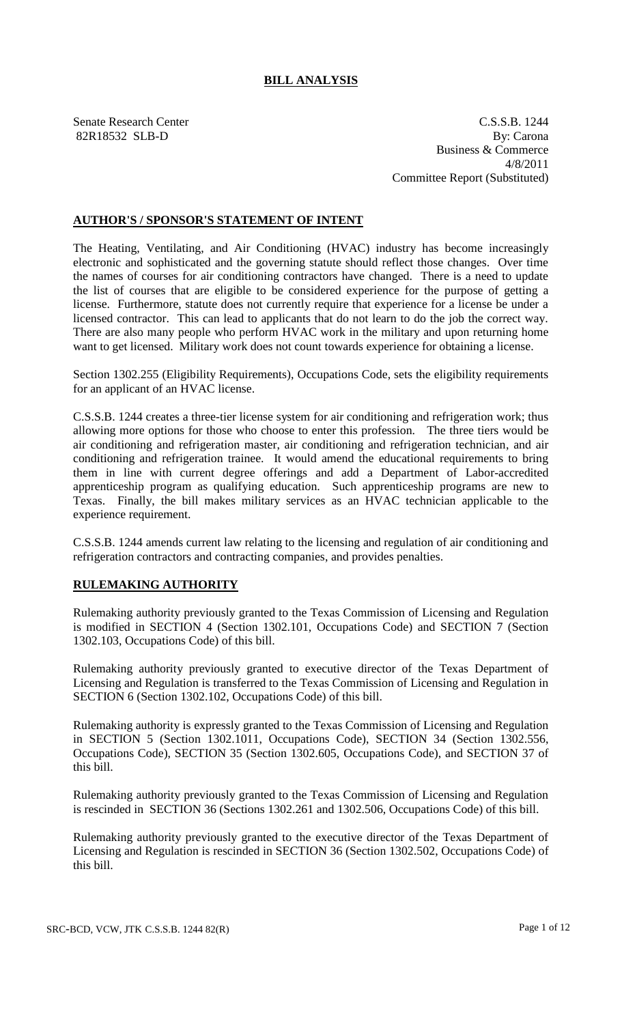## **BILL ANALYSIS**

Senate Research Center C.S.S.B. 1244 82R18532 SLB-D By: Carona Business & Commerce 4/8/2011 Committee Report (Substituted)

## **AUTHOR'S / SPONSOR'S STATEMENT OF INTENT**

The Heating, Ventilating, and Air Conditioning (HVAC) industry has become increasingly electronic and sophisticated and the governing statute should reflect those changes. Over time the names of courses for air conditioning contractors have changed. There is a need to update the list of courses that are eligible to be considered experience for the purpose of getting a license. Furthermore, statute does not currently require that experience for a license be under a licensed contractor. This can lead to applicants that do not learn to do the job the correct way. There are also many people who perform HVAC work in the military and upon returning home want to get licensed. Military work does not count towards experience for obtaining a license.

Section 1302.255 (Eligibility Requirements), Occupations Code, sets the eligibility requirements for an applicant of an HVAC license.

C.S.S.B. 1244 creates a three-tier license system for air conditioning and refrigeration work; thus allowing more options for those who choose to enter this profession. The three tiers would be air conditioning and refrigeration master, air conditioning and refrigeration technician, and air conditioning and refrigeration trainee. It would amend the educational requirements to bring them in line with current degree offerings and add a Department of Labor-accredited apprenticeship program as qualifying education. Such apprenticeship programs are new to Texas. Finally, the bill makes military services as an HVAC technician applicable to the experience requirement.

C.S.S.B. 1244 amends current law relating to the licensing and regulation of air conditioning and refrigeration contractors and contracting companies, and provides penalties.

## **RULEMAKING AUTHORITY**

Rulemaking authority previously granted to the Texas Commission of Licensing and Regulation is modified in SECTION 4 (Section 1302.101, Occupations Code) and SECTION 7 (Section 1302.103, Occupations Code) of this bill.

Rulemaking authority previously granted to executive director of the Texas Department of Licensing and Regulation is transferred to the Texas Commission of Licensing and Regulation in SECTION 6 (Section 1302.102, Occupations Code) of this bill.

Rulemaking authority is expressly granted to the Texas Commission of Licensing and Regulation in SECTION 5 (Section 1302.1011, Occupations Code), SECTION 34 (Section 1302.556, Occupations Code), SECTION 35 (Section 1302.605, Occupations Code), and SECTION 37 of this bill.

Rulemaking authority previously granted to the Texas Commission of Licensing and Regulation is rescinded in SECTION 36 (Sections 1302.261 and 1302.506, Occupations Code) of this bill.

Rulemaking authority previously granted to the executive director of the Texas Department of Licensing and Regulation is rescinded in SECTION 36 (Section 1302.502, Occupations Code) of this bill.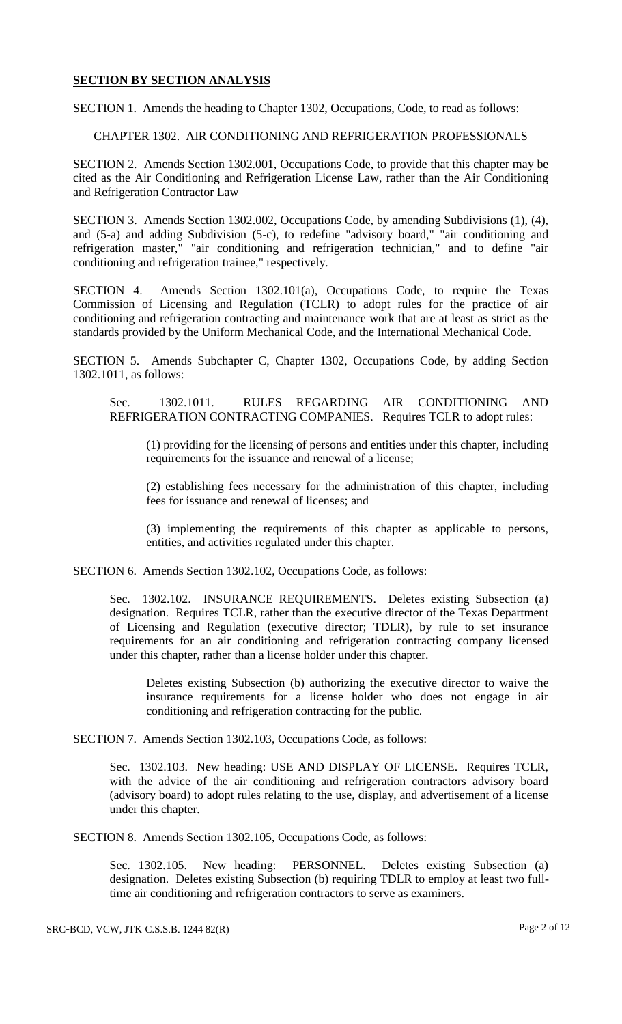### **SECTION BY SECTION ANALYSIS**

SECTION 1. Amends the heading to Chapter 1302, Occupations, Code, to read as follows:

#### CHAPTER 1302. AIR CONDITIONING AND REFRIGERATION PROFESSIONALS

SECTION 2. Amends Section 1302.001, Occupations Code, to provide that this chapter may be cited as the Air Conditioning and Refrigeration License Law, rather than the Air Conditioning and Refrigeration Contractor Law

SECTION 3. Amends Section 1302.002, Occupations Code, by amending Subdivisions (1), (4), and (5-a) and adding Subdivision (5-c), to redefine "advisory board," "air conditioning and refrigeration master," "air conditioning and refrigeration technician," and to define "air conditioning and refrigeration trainee," respectively.

SECTION 4. Amends Section 1302.101(a), Occupations Code, to require the Texas Commission of Licensing and Regulation (TCLR) to adopt rules for the practice of air conditioning and refrigeration contracting and maintenance work that are at least as strict as the standards provided by the Uniform Mechanical Code, and the International Mechanical Code.

SECTION 5. Amends Subchapter C, Chapter 1302, Occupations Code, by adding Section 1302.1011, as follows:

Sec. 1302.1011. RULES REGARDING AIR CONDITIONING AND REFRIGERATION CONTRACTING COMPANIES. Requires TCLR to adopt rules:

(1) providing for the licensing of persons and entities under this chapter, including requirements for the issuance and renewal of a license;

(2) establishing fees necessary for the administration of this chapter, including fees for issuance and renewal of licenses; and

(3) implementing the requirements of this chapter as applicable to persons, entities, and activities regulated under this chapter.

SECTION 6. Amends Section 1302.102, Occupations Code, as follows:

Sec. 1302.102. INSURANCE REQUIREMENTS. Deletes existing Subsection (a) designation. Requires TCLR, rather than the executive director of the Texas Department of Licensing and Regulation (executive director; TDLR), by rule to set insurance requirements for an air conditioning and refrigeration contracting company licensed under this chapter, rather than a license holder under this chapter.

Deletes existing Subsection (b) authorizing the executive director to waive the insurance requirements for a license holder who does not engage in air conditioning and refrigeration contracting for the public.

SECTION 7. Amends Section 1302.103, Occupations Code, as follows:

Sec. 1302.103. New heading: USE AND DISPLAY OF LICENSE. Requires TCLR, with the advice of the air conditioning and refrigeration contractors advisory board (advisory board) to adopt rules relating to the use, display, and advertisement of a license under this chapter.

SECTION 8. Amends Section 1302.105, Occupations Code, as follows:

Sec. 1302.105. New heading: PERSONNEL. Deletes existing Subsection (a) designation. Deletes existing Subsection (b) requiring TDLR to employ at least two fulltime air conditioning and refrigeration contractors to serve as examiners.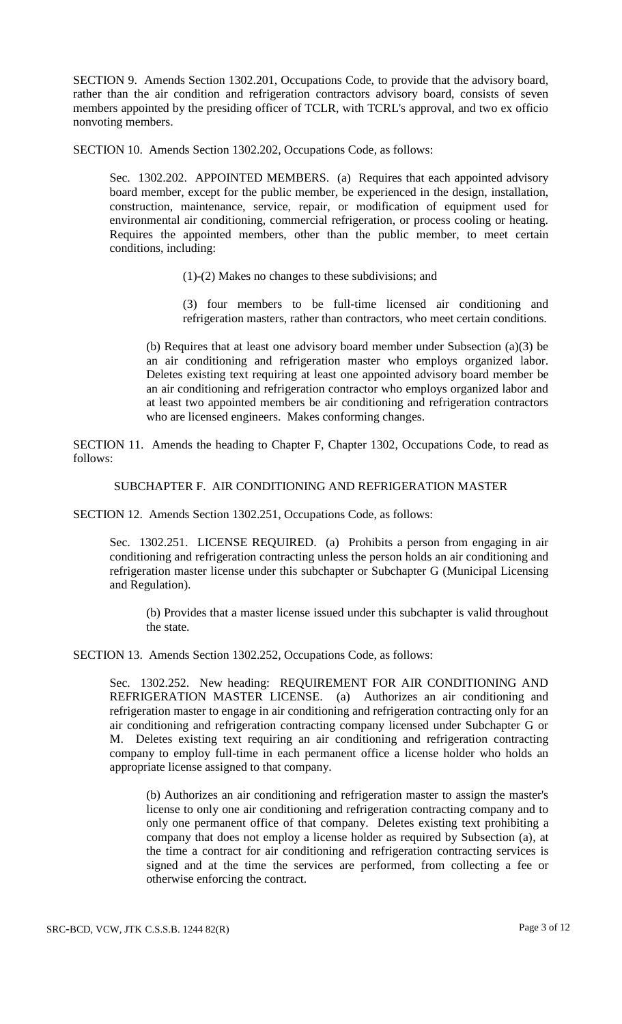SECTION 9. Amends Section 1302.201, Occupations Code, to provide that the advisory board, rather than the air condition and refrigeration contractors advisory board, consists of seven members appointed by the presiding officer of TCLR, with TCRL's approval, and two ex officio nonvoting members.

SECTION 10. Amends Section 1302.202, Occupations Code, as follows:

Sec. 1302.202. APPOINTED MEMBERS. (a) Requires that each appointed advisory board member, except for the public member, be experienced in the design, installation, construction, maintenance, service, repair, or modification of equipment used for environmental air conditioning, commercial refrigeration, or process cooling or heating. Requires the appointed members, other than the public member, to meet certain conditions, including:

- (1)-(2) Makes no changes to these subdivisions; and
- (3) four members to be full-time licensed air conditioning and refrigeration masters, rather than contractors, who meet certain conditions.

(b) Requires that at least one advisory board member under Subsection (a)(3) be an air conditioning and refrigeration master who employs organized labor. Deletes existing text requiring at least one appointed advisory board member be an air conditioning and refrigeration contractor who employs organized labor and at least two appointed members be air conditioning and refrigeration contractors who are licensed engineers. Makes conforming changes.

SECTION 11. Amends the heading to Chapter F, Chapter 1302, Occupations Code, to read as follows:

# SUBCHAPTER F. AIR CONDITIONING AND REFRIGERATION MASTER

SECTION 12. Amends Section 1302.251, Occupations Code, as follows:

Sec. 1302.251. LICENSE REQUIRED. (a) Prohibits a person from engaging in air conditioning and refrigeration contracting unless the person holds an air conditioning and refrigeration master license under this subchapter or Subchapter G (Municipal Licensing and Regulation).

(b) Provides that a master license issued under this subchapter is valid throughout the state.

SECTION 13. Amends Section 1302.252, Occupations Code, as follows:

Sec. 1302.252. New heading: REQUIREMENT FOR AIR CONDITIONING AND REFRIGERATION MASTER LICENSE. (a) Authorizes an air conditioning and refrigeration master to engage in air conditioning and refrigeration contracting only for an air conditioning and refrigeration contracting company licensed under Subchapter G or M. Deletes existing text requiring an air conditioning and refrigeration contracting company to employ full-time in each permanent office a license holder who holds an appropriate license assigned to that company.

(b) Authorizes an air conditioning and refrigeration master to assign the master's license to only one air conditioning and refrigeration contracting company and to only one permanent office of that company. Deletes existing text prohibiting a company that does not employ a license holder as required by Subsection (a), at the time a contract for air conditioning and refrigeration contracting services is signed and at the time the services are performed, from collecting a fee or otherwise enforcing the contract.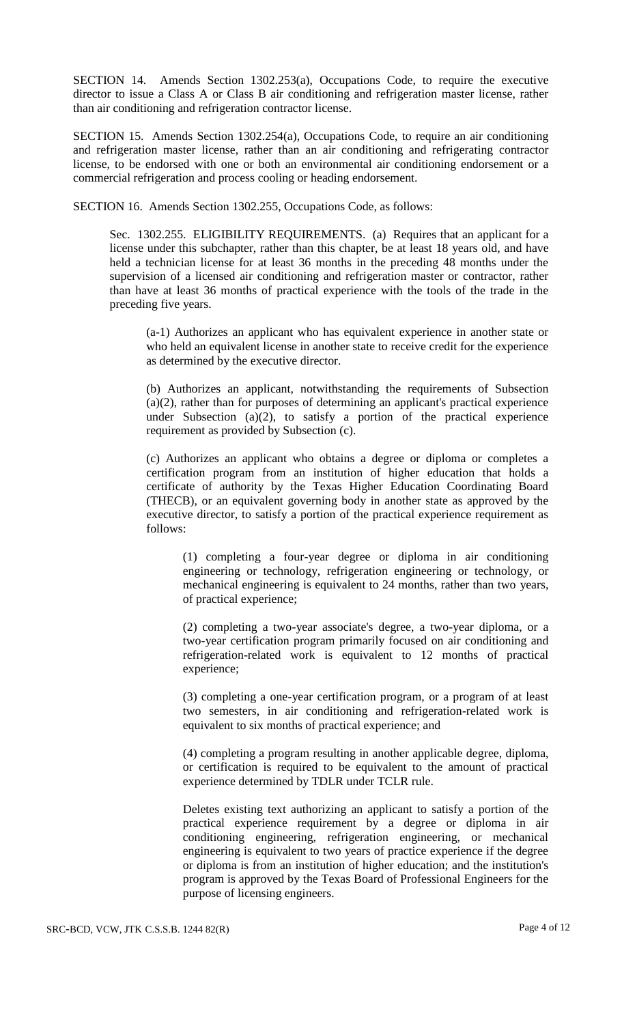SECTION 14. Amends Section 1302.253(a), Occupations Code, to require the executive director to issue a Class A or Class B air conditioning and refrigeration master license, rather than air conditioning and refrigeration contractor license.

SECTION 15. Amends Section 1302.254(a), Occupations Code, to require an air conditioning and refrigeration master license, rather than an air conditioning and refrigerating contractor license, to be endorsed with one or both an environmental air conditioning endorsement or a commercial refrigeration and process cooling or heading endorsement.

SECTION 16. Amends Section 1302.255, Occupations Code, as follows:

Sec. 1302.255. ELIGIBILITY REQUIREMENTS. (a) Requires that an applicant for a license under this subchapter, rather than this chapter, be at least 18 years old, and have held a technician license for at least 36 months in the preceding 48 months under the supervision of a licensed air conditioning and refrigeration master or contractor, rather than have at least 36 months of practical experience with the tools of the trade in the preceding five years.

(a-1) Authorizes an applicant who has equivalent experience in another state or who held an equivalent license in another state to receive credit for the experience as determined by the executive director.

(b) Authorizes an applicant, notwithstanding the requirements of Subsection (a)(2), rather than for purposes of determining an applicant's practical experience under Subsection (a)(2), to satisfy a portion of the practical experience requirement as provided by Subsection (c).

(c) Authorizes an applicant who obtains a degree or diploma or completes a certification program from an institution of higher education that holds a certificate of authority by the Texas Higher Education Coordinating Board (THECB), or an equivalent governing body in another state as approved by the executive director, to satisfy a portion of the practical experience requirement as follows:

(1) completing a four-year degree or diploma in air conditioning engineering or technology, refrigeration engineering or technology, or mechanical engineering is equivalent to 24 months, rather than two years, of practical experience;

(2) completing a two-year associate's degree, a two-year diploma, or a two-year certification program primarily focused on air conditioning and refrigeration-related work is equivalent to 12 months of practical experience;

(3) completing a one-year certification program, or a program of at least two semesters, in air conditioning and refrigeration-related work is equivalent to six months of practical experience; and

(4) completing a program resulting in another applicable degree, diploma, or certification is required to be equivalent to the amount of practical experience determined by TDLR under TCLR rule.

Deletes existing text authorizing an applicant to satisfy a portion of the practical experience requirement by a degree or diploma in air conditioning engineering, refrigeration engineering, or mechanical engineering is equivalent to two years of practice experience if the degree or diploma is from an institution of higher education; and the institution's program is approved by the Texas Board of Professional Engineers for the purpose of licensing engineers.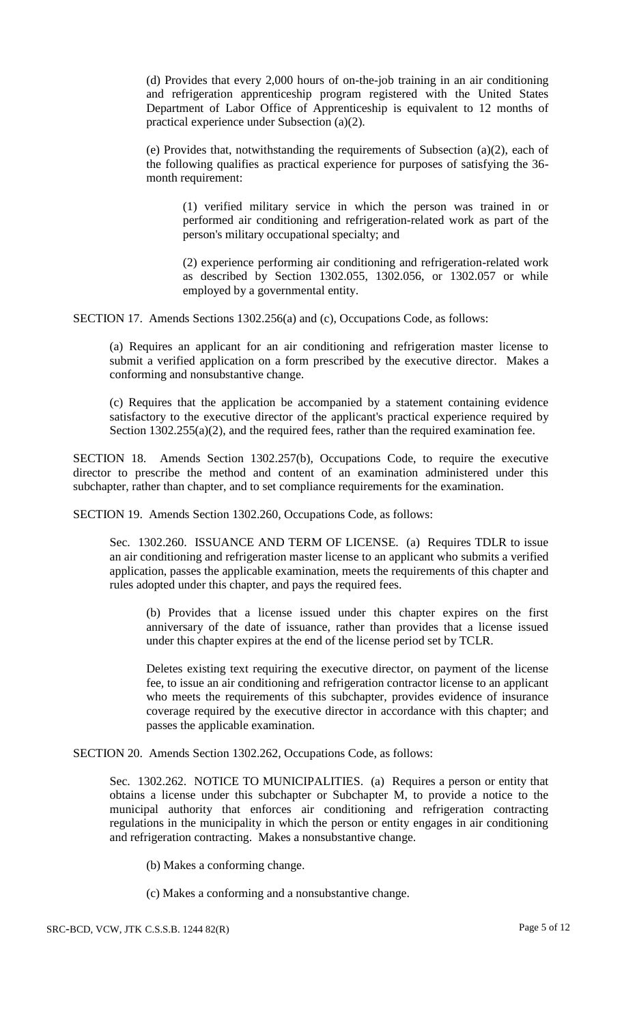(d) Provides that every 2,000 hours of on-the-job training in an air conditioning and refrigeration apprenticeship program registered with the United States Department of Labor Office of Apprenticeship is equivalent to 12 months of practical experience under Subsection (a)(2).

(e) Provides that, notwithstanding the requirements of Subsection  $(a)(2)$ , each of the following qualifies as practical experience for purposes of satisfying the 36 month requirement:

(1) verified military service in which the person was trained in or performed air conditioning and refrigeration-related work as part of the person's military occupational specialty; and

(2) experience performing air conditioning and refrigeration-related work as described by Section 1302.055, 1302.056, or 1302.057 or while employed by a governmental entity.

SECTION 17. Amends Sections 1302.256(a) and (c), Occupations Code, as follows:

(a) Requires an applicant for an air conditioning and refrigeration master license to submit a verified application on a form prescribed by the executive director. Makes a conforming and nonsubstantive change.

(c) Requires that the application be accompanied by a statement containing evidence satisfactory to the executive director of the applicant's practical experience required by Section  $1302.255(a)(2)$ , and the required fees, rather than the required examination fee.

SECTION 18. Amends Section 1302.257(b), Occupations Code, to require the executive director to prescribe the method and content of an examination administered under this subchapter, rather than chapter, and to set compliance requirements for the examination.

SECTION 19. Amends Section 1302.260, Occupations Code, as follows:

Sec. 1302.260. ISSUANCE AND TERM OF LICENSE. (a) Requires TDLR to issue an air conditioning and refrigeration master license to an applicant who submits a verified application, passes the applicable examination, meets the requirements of this chapter and rules adopted under this chapter, and pays the required fees.

(b) Provides that a license issued under this chapter expires on the first anniversary of the date of issuance, rather than provides that a license issued under this chapter expires at the end of the license period set by TCLR.

Deletes existing text requiring the executive director, on payment of the license fee, to issue an air conditioning and refrigeration contractor license to an applicant who meets the requirements of this subchapter, provides evidence of insurance coverage required by the executive director in accordance with this chapter; and passes the applicable examination.

SECTION 20. Amends Section 1302.262, Occupations Code, as follows:

Sec. 1302.262. NOTICE TO MUNICIPALITIES. (a) Requires a person or entity that obtains a license under this subchapter or Subchapter M, to provide a notice to the municipal authority that enforces air conditioning and refrigeration contracting regulations in the municipality in which the person or entity engages in air conditioning and refrigeration contracting. Makes a nonsubstantive change.

(b) Makes a conforming change.

(c) Makes a conforming and a nonsubstantive change.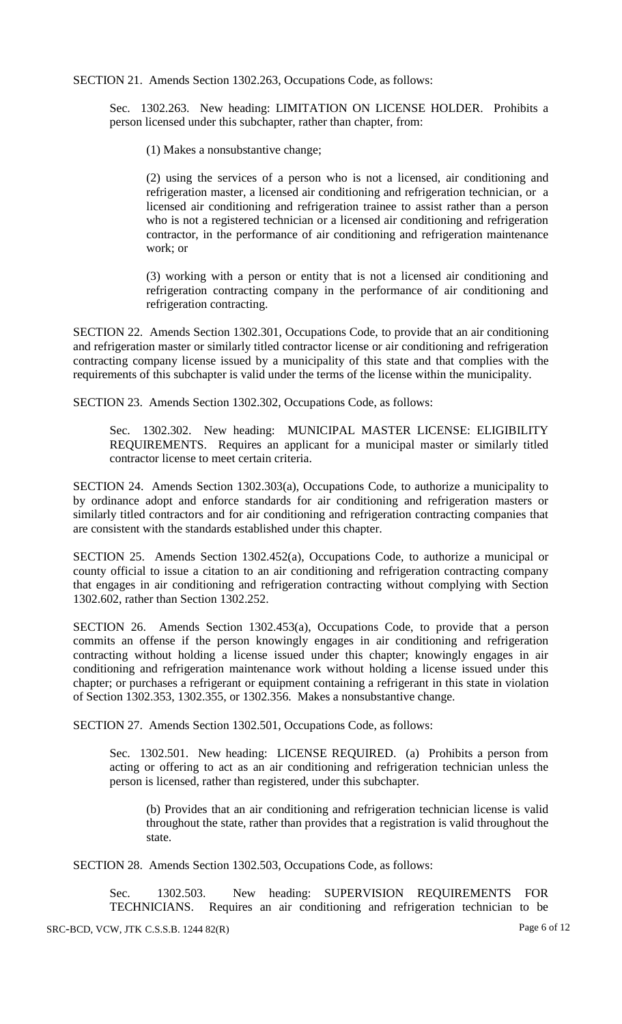SECTION 21. Amends Section 1302.263, Occupations Code, as follows:

Sec. 1302.263. New heading: LIMITATION ON LICENSE HOLDER. Prohibits a person licensed under this subchapter, rather than chapter, from:

(1) Makes a nonsubstantive change;

(2) using the services of a person who is not a licensed, air conditioning and refrigeration master, a licensed air conditioning and refrigeration technician, or a licensed air conditioning and refrigeration trainee to assist rather than a person who is not a registered technician or a licensed air conditioning and refrigeration contractor, in the performance of air conditioning and refrigeration maintenance work; or

(3) working with a person or entity that is not a licensed air conditioning and refrigeration contracting company in the performance of air conditioning and refrigeration contracting.

SECTION 22. Amends Section 1302.301, Occupations Code, to provide that an air conditioning and refrigeration master or similarly titled contractor license or air conditioning and refrigeration contracting company license issued by a municipality of this state and that complies with the requirements of this subchapter is valid under the terms of the license within the municipality.

SECTION 23. Amends Section 1302.302, Occupations Code, as follows:

Sec. 1302.302. New heading: MUNICIPAL MASTER LICENSE: ELIGIBILITY REQUIREMENTS. Requires an applicant for a municipal master or similarly titled contractor license to meet certain criteria.

SECTION 24. Amends Section 1302.303(a), Occupations Code, to authorize a municipality to by ordinance adopt and enforce standards for air conditioning and refrigeration masters or similarly titled contractors and for air conditioning and refrigeration contracting companies that are consistent with the standards established under this chapter.

SECTION 25. Amends Section 1302.452(a), Occupations Code, to authorize a municipal or county official to issue a citation to an air conditioning and refrigeration contracting company that engages in air conditioning and refrigeration contracting without complying with Section 1302.602, rather than Section 1302.252.

SECTION 26. Amends Section 1302.453(a), Occupations Code, to provide that a person commits an offense if the person knowingly engages in air conditioning and refrigeration contracting without holding a license issued under this chapter; knowingly engages in air conditioning and refrigeration maintenance work without holding a license issued under this chapter; or purchases a refrigerant or equipment containing a refrigerant in this state in violation of Section 1302.353, 1302.355, or 1302.356. Makes a nonsubstantive change.

SECTION 27. Amends Section 1302.501, Occupations Code, as follows:

Sec. 1302.501. New heading: LICENSE REQUIRED. (a) Prohibits a person from acting or offering to act as an air conditioning and refrigeration technician unless the person is licensed, rather than registered, under this subchapter.

(b) Provides that an air conditioning and refrigeration technician license is valid throughout the state, rather than provides that a registration is valid throughout the state.

SECTION 28. Amends Section 1302.503, Occupations Code, as follows:

Sec. 1302.503. New heading: SUPERVISION REQUIREMENTS FOR TECHNICIANS. Requires an air conditioning and refrigeration technician to be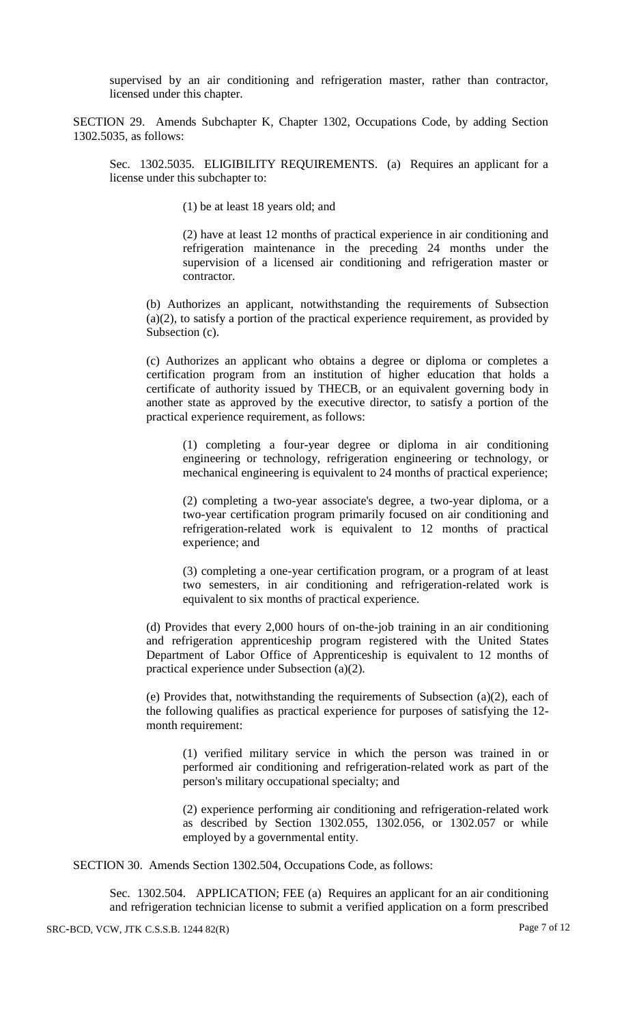supervised by an air conditioning and refrigeration master, rather than contractor, licensed under this chapter.

SECTION 29. Amends Subchapter K, Chapter 1302, Occupations Code, by adding Section 1302.5035, as follows:

Sec. 1302.5035. ELIGIBILITY REQUIREMENTS. (a) Requires an applicant for a license under this subchapter to:

(1) be at least 18 years old; and

(2) have at least 12 months of practical experience in air conditioning and refrigeration maintenance in the preceding 24 months under the supervision of a licensed air conditioning and refrigeration master or contractor.

(b) Authorizes an applicant, notwithstanding the requirements of Subsection (a)(2), to satisfy a portion of the practical experience requirement, as provided by Subsection (c).

(c) Authorizes an applicant who obtains a degree or diploma or completes a certification program from an institution of higher education that holds a certificate of authority issued by THECB, or an equivalent governing body in another state as approved by the executive director, to satisfy a portion of the practical experience requirement, as follows:

(1) completing a four-year degree or diploma in air conditioning engineering or technology, refrigeration engineering or technology, or mechanical engineering is equivalent to 24 months of practical experience;

(2) completing a two-year associate's degree, a two-year diploma, or a two-year certification program primarily focused on air conditioning and refrigeration-related work is equivalent to 12 months of practical experience; and

(3) completing a one-year certification program, or a program of at least two semesters, in air conditioning and refrigeration-related work is equivalent to six months of practical experience.

(d) Provides that every 2,000 hours of on-the-job training in an air conditioning and refrigeration apprenticeship program registered with the United States Department of Labor Office of Apprenticeship is equivalent to 12 months of practical experience under Subsection (a)(2).

(e) Provides that, notwithstanding the requirements of Subsection (a)(2), each of the following qualifies as practical experience for purposes of satisfying the 12 month requirement:

(1) verified military service in which the person was trained in or performed air conditioning and refrigeration-related work as part of the person's military occupational specialty; and

(2) experience performing air conditioning and refrigeration-related work as described by Section 1302.055, 1302.056, or 1302.057 or while employed by a governmental entity.

SECTION 30. Amends Section 1302.504, Occupations Code, as follows:

Sec. 1302.504. APPLICATION; FEE (a) Requires an applicant for an air conditioning and refrigeration technician license to submit a verified application on a form prescribed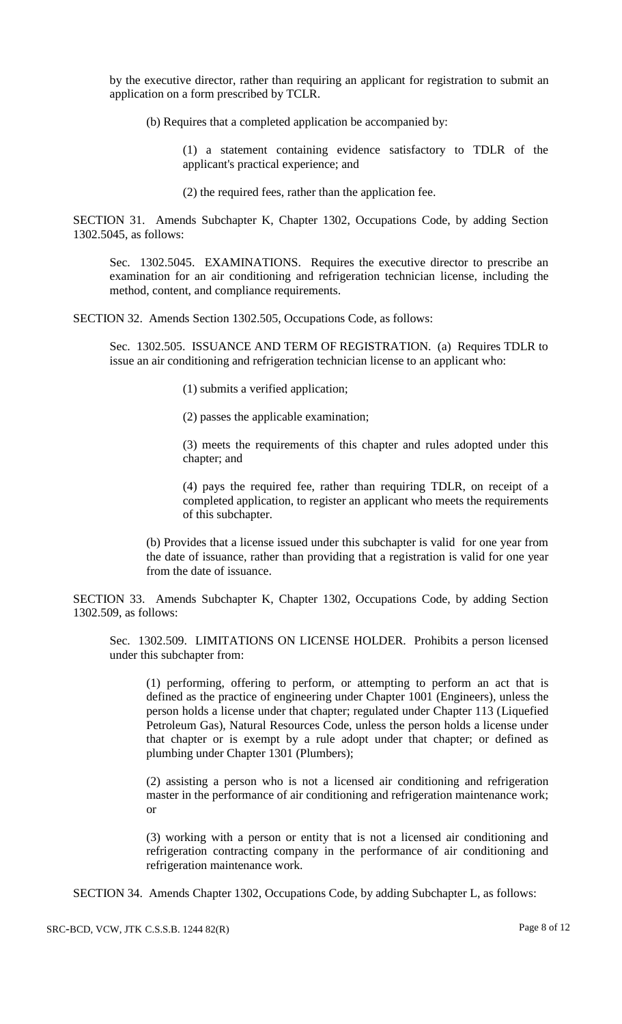by the executive director, rather than requiring an applicant for registration to submit an application on a form prescribed by TCLR.

(b) Requires that a completed application be accompanied by:

(1) a statement containing evidence satisfactory to TDLR of the applicant's practical experience; and

(2) the required fees, rather than the application fee.

SECTION 31. Amends Subchapter K, Chapter 1302, Occupations Code, by adding Section 1302.5045, as follows:

Sec. 1302.5045. EXAMINATIONS. Requires the executive director to prescribe an examination for an air conditioning and refrigeration technician license, including the method, content, and compliance requirements.

SECTION 32. Amends Section 1302.505, Occupations Code, as follows:

Sec. 1302.505. ISSUANCE AND TERM OF REGISTRATION. (a) Requires TDLR to issue an air conditioning and refrigeration technician license to an applicant who:

(1) submits a verified application;

(2) passes the applicable examination;

(3) meets the requirements of this chapter and rules adopted under this chapter; and

(4) pays the required fee, rather than requiring TDLR, on receipt of a completed application, to register an applicant who meets the requirements of this subchapter.

(b) Provides that a license issued under this subchapter is valid for one year from the date of issuance, rather than providing that a registration is valid for one year from the date of issuance.

SECTION 33. Amends Subchapter K, Chapter 1302, Occupations Code, by adding Section 1302.509, as follows:

Sec. 1302.509. LIMITATIONS ON LICENSE HOLDER. Prohibits a person licensed under this subchapter from:

(1) performing, offering to perform, or attempting to perform an act that is defined as the practice of engineering under Chapter 1001 (Engineers), unless the person holds a license under that chapter; regulated under Chapter 113 (Liquefied Petroleum Gas), Natural Resources Code, unless the person holds a license under that chapter or is exempt by a rule adopt under that chapter; or defined as plumbing under Chapter 1301 (Plumbers);

(2) assisting a person who is not a licensed air conditioning and refrigeration master in the performance of air conditioning and refrigeration maintenance work; or

(3) working with a person or entity that is not a licensed air conditioning and refrigeration contracting company in the performance of air conditioning and refrigeration maintenance work.

SECTION 34. Amends Chapter 1302, Occupations Code, by adding Subchapter L, as follows: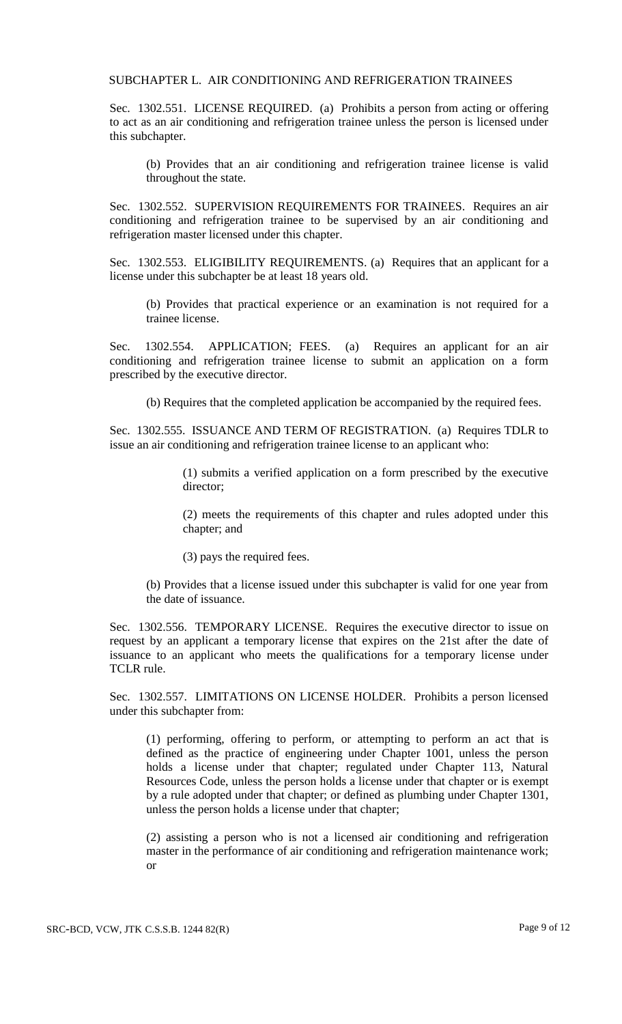#### SUBCHAPTER L. AIR CONDITIONING AND REFRIGERATION TRAINEES

Sec. 1302.551. LICENSE REQUIRED. (a) Prohibits a person from acting or offering to act as an air conditioning and refrigeration trainee unless the person is licensed under this subchapter.

(b) Provides that an air conditioning and refrigeration trainee license is valid throughout the state.

Sec. 1302.552. SUPERVISION REQUIREMENTS FOR TRAINEES. Requires an air conditioning and refrigeration trainee to be supervised by an air conditioning and refrigeration master licensed under this chapter.

Sec. 1302.553. ELIGIBILITY REQUIREMENTS. (a) Requires that an applicant for a license under this subchapter be at least 18 years old.

(b) Provides that practical experience or an examination is not required for a trainee license.

Sec. 1302.554. APPLICATION; FEES. (a) Requires an applicant for an air conditioning and refrigeration trainee license to submit an application on a form prescribed by the executive director.

(b) Requires that the completed application be accompanied by the required fees.

Sec. 1302.555. ISSUANCE AND TERM OF REGISTRATION. (a) Requires TDLR to issue an air conditioning and refrigeration trainee license to an applicant who:

> (1) submits a verified application on a form prescribed by the executive director;

> (2) meets the requirements of this chapter and rules adopted under this chapter; and

(3) pays the required fees.

(b) Provides that a license issued under this subchapter is valid for one year from the date of issuance.

Sec. 1302.556. TEMPORARY LICENSE. Requires the executive director to issue on request by an applicant a temporary license that expires on the 21st after the date of issuance to an applicant who meets the qualifications for a temporary license under TCLR rule.

Sec. 1302.557. LIMITATIONS ON LICENSE HOLDER. Prohibits a person licensed under this subchapter from:

(1) performing, offering to perform, or attempting to perform an act that is defined as the practice of engineering under Chapter 1001, unless the person holds a license under that chapter; regulated under Chapter 113, Natural Resources Code, unless the person holds a license under that chapter or is exempt by a rule adopted under that chapter; or defined as plumbing under Chapter 1301, unless the person holds a license under that chapter;

(2) assisting a person who is not a licensed air conditioning and refrigeration master in the performance of air conditioning and refrigeration maintenance work; or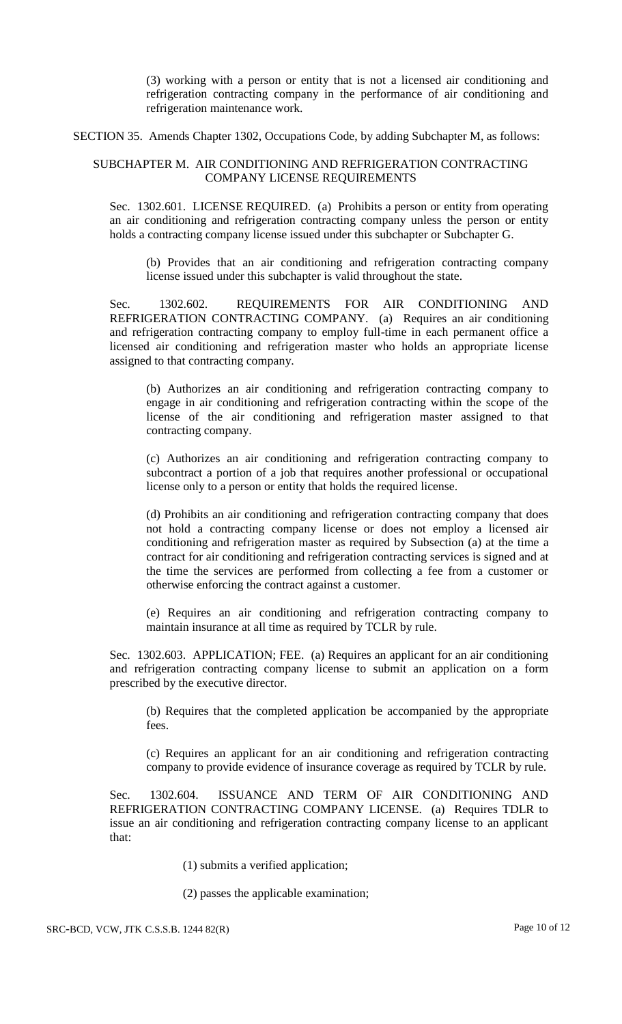(3) working with a person or entity that is not a licensed air conditioning and refrigeration contracting company in the performance of air conditioning and refrigeration maintenance work.

SECTION 35. Amends Chapter 1302, Occupations Code, by adding Subchapter M, as follows:

### SUBCHAPTER M. AIR CONDITIONING AND REFRIGERATION CONTRACTING COMPANY LICENSE REQUIREMENTS

Sec. 1302.601. LICENSE REQUIRED. (a) Prohibits a person or entity from operating an air conditioning and refrigeration contracting company unless the person or entity holds a contracting company license issued under this subchapter or Subchapter G.

(b) Provides that an air conditioning and refrigeration contracting company license issued under this subchapter is valid throughout the state.

Sec. 1302.602. REQUIREMENTS FOR AIR CONDITIONING AND REFRIGERATION CONTRACTING COMPANY. (a) Requires an air conditioning and refrigeration contracting company to employ full-time in each permanent office a licensed air conditioning and refrigeration master who holds an appropriate license assigned to that contracting company.

(b) Authorizes an air conditioning and refrigeration contracting company to engage in air conditioning and refrigeration contracting within the scope of the license of the air conditioning and refrigeration master assigned to that contracting company.

(c) Authorizes an air conditioning and refrigeration contracting company to subcontract a portion of a job that requires another professional or occupational license only to a person or entity that holds the required license.

(d) Prohibits an air conditioning and refrigeration contracting company that does not hold a contracting company license or does not employ a licensed air conditioning and refrigeration master as required by Subsection (a) at the time a contract for air conditioning and refrigeration contracting services is signed and at the time the services are performed from collecting a fee from a customer or otherwise enforcing the contract against a customer.

(e) Requires an air conditioning and refrigeration contracting company to maintain insurance at all time as required by TCLR by rule.

Sec. 1302.603. APPLICATION; FEE. (a) Requires an applicant for an air conditioning and refrigeration contracting company license to submit an application on a form prescribed by the executive director.

(b) Requires that the completed application be accompanied by the appropriate fees.

(c) Requires an applicant for an air conditioning and refrigeration contracting company to provide evidence of insurance coverage as required by TCLR by rule.

Sec. 1302.604. ISSUANCE AND TERM OF AIR CONDITIONING AND REFRIGERATION CONTRACTING COMPANY LICENSE. (a) Requires TDLR to issue an air conditioning and refrigeration contracting company license to an applicant that:

- (1) submits a verified application;
- (2) passes the applicable examination;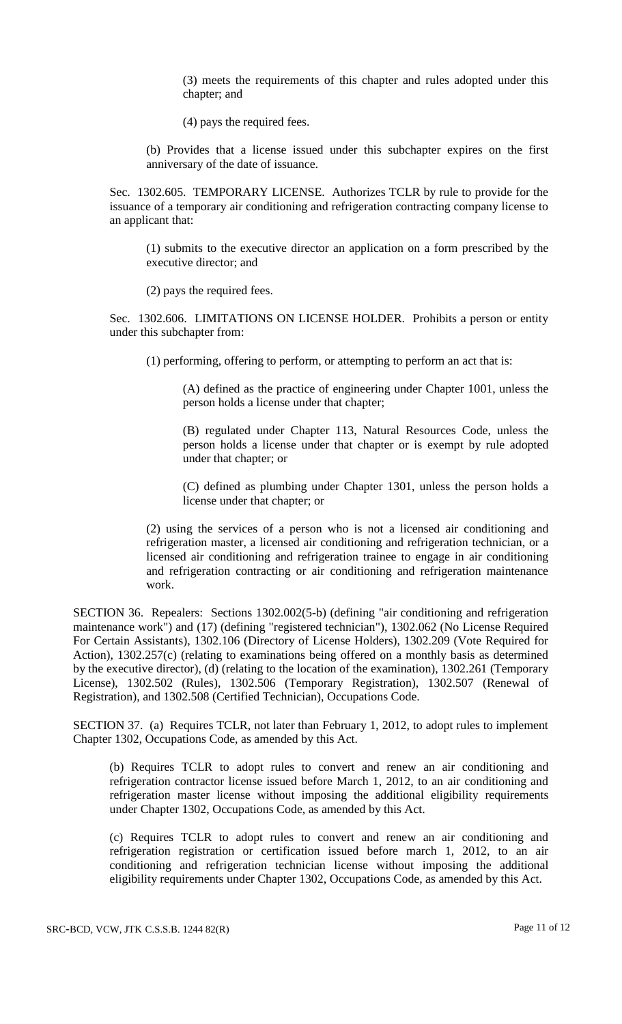(3) meets the requirements of this chapter and rules adopted under this chapter; and

(4) pays the required fees.

(b) Provides that a license issued under this subchapter expires on the first anniversary of the date of issuance.

Sec. 1302.605. TEMPORARY LICENSE. Authorizes TCLR by rule to provide for the issuance of a temporary air conditioning and refrigeration contracting company license to an applicant that:

(1) submits to the executive director an application on a form prescribed by the executive director; and

(2) pays the required fees.

Sec. 1302.606. LIMITATIONS ON LICENSE HOLDER. Prohibits a person or entity under this subchapter from:

(1) performing, offering to perform, or attempting to perform an act that is:

(A) defined as the practice of engineering under Chapter 1001, unless the person holds a license under that chapter;

(B) regulated under Chapter 113, Natural Resources Code, unless the person holds a license under that chapter or is exempt by rule adopted under that chapter; or

(C) defined as plumbing under Chapter 1301, unless the person holds a license under that chapter; or

(2) using the services of a person who is not a licensed air conditioning and refrigeration master, a licensed air conditioning and refrigeration technician, or a licensed air conditioning and refrigeration trainee to engage in air conditioning and refrigeration contracting or air conditioning and refrigeration maintenance work.

SECTION 36. Repealers: Sections 1302.002(5-b) (defining "air conditioning and refrigeration maintenance work") and (17) (defining "registered technician"), 1302.062 (No License Required For Certain Assistants), 1302.106 (Directory of License Holders), 1302.209 (Vote Required for Action), 1302.257(c) (relating to examinations being offered on a monthly basis as determined by the executive director), (d) (relating to the location of the examination), 1302.261 (Temporary License), 1302.502 (Rules), 1302.506 (Temporary Registration), 1302.507 (Renewal of Registration), and 1302.508 (Certified Technician), Occupations Code.

SECTION 37. (a) Requires TCLR, not later than February 1, 2012, to adopt rules to implement Chapter 1302, Occupations Code, as amended by this Act.

(b) Requires TCLR to adopt rules to convert and renew an air conditioning and refrigeration contractor license issued before March 1, 2012, to an air conditioning and refrigeration master license without imposing the additional eligibility requirements under Chapter 1302, Occupations Code, as amended by this Act.

(c) Requires TCLR to adopt rules to convert and renew an air conditioning and refrigeration registration or certification issued before march 1, 2012, to an air conditioning and refrigeration technician license without imposing the additional eligibility requirements under Chapter 1302, Occupations Code, as amended by this Act.